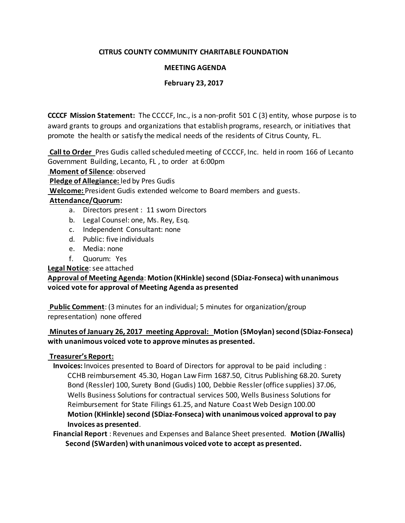# **CITRUS COUNTY COMMUNITY CHARITABLE FOUNDATION**

## **MEETING AGENDA**

## **February 23, 2017**

**CCCCF Mission Statement:** The CCCCF, Inc., is a non-profit 501 C (3) entity, whose purpose is to award grants to groups and organizations that establish programs, research, or initiatives that promote the health or satisfy the medical needs of the residents of Citrus County, FL.

**Call to Order** Pres Gudis called scheduled meeting of CCCCF, Inc. held in room 166 of Lecanto Government Building, Lecanto, FL , to order at 6:00pm

**Moment of Silence**: observed

**Pledge of Allegiance:** led by Pres Gudis

**Welcome:** President Gudis extended welcome to Board members and guests.

### **Attendance/Quorum:**

- a. Directors present : 11 sworn Directors
- b. Legal Counsel: one, Ms. Rey, Esq.
- c. Independent Consultant: none
- d. Public: five individuals
- e. Media: none
- f. Quorum: Yes

# **Legal Notice**: see attached

# **Approval of Meeting Agenda**: **Motion (KHinkle) second (SDiaz-Fonseca) with unanimous voiced vote for approval of Meeting Agenda as presented**

**Public Comment**: (3 minutes for an individual; 5 minutes for organization/group representation) none offered

# **Minutes of January 26, 2017 meeting Approval: Motion (SMoylan) second (SDiaz-Fonseca) with unanimous voiced vote to approve minutes as presented.**

### **Treasurer's Report:**

 **Invoices:** Invoices presented to Board of Directors for approval to be paid including : CCHB reimbursement 45.30, Hogan Law Firm 1687.50, Citrus Publishing 68.20. Surety Bond (Ressler) 100, Surety Bond (Gudis) 100, Debbie Ressler (office supplies) 37.06, Wells Business Solutions for contractual services 500, Wells Business Solutions for Reimbursement for State Filings 61.25, and Nature Coast Web Design 100.00 **Motion (KHinkle) second (SDiaz-Fonseca) with unanimous voiced approval to pay Invoices as presented**.

 **Financial Report** : Revenues and Expenses and Balance Sheet presented. **Motion (JWallis) Second (SWarden) with unanimous voiced vote to accept as presented.**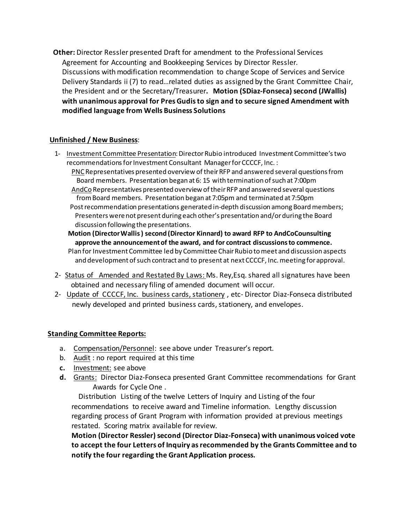**Other:** Director Ressler presented Draft for amendment to the Professional Services Agreement for Accounting and Bookkeeping Services by Director Ressler. Discussions with modification recommendation to change Scope of Services and Service Delivery Standards ii (7) to read…related duties as assigned by the Grant Committee Chair, the President and or the Secretary/Treasurer**. Motion (SDiaz-Fonseca) second (JWallis) with unanimous approval for Pres Gudis to sign and to secure signed Amendment with modified language from Wells Business Solutions**

# **Unfinished / New Business**:

1- Investment Committee Presentation: Director Rubio introduced Investment Committee's two recommendations for Investment Consultant Manager for CCCCF, Inc. :

 PNC Representatives presented overview of their RFP and answered several questions from Board members. Presentation began at 6: 15 with termination of such at 7:00pm

 AndCo Representatives presented overview of their RFP and answered several questions from Board members. Presentation began at 7:05pm and terminated at 7:50pm

 Post recommendation presentations generated in-depth discussion among Board members; Presenters were not present during each other's presentation and/or during the Board discussion following the presentations.

**Motion (Director Wallis ) second (Director Kinnard) to award RFP to AndCoCounsulting approve the announcement of the award, and for contract discussions to commence.** 

Plan for Investment Committee led by Committee Chair Rubio to meet and discussion aspects and development of such contract and to present at next CCCCF, Inc. meeting for approval.

- 2- Status of Amended and Restated By Laws: Ms. Rey, Esq. shared all signatures have been obtained and necessary filing of amended document will occur.
- 2- Update of CCCCF, Inc. business cards, stationery , etc- Director Diaz-Fonseca distributed newly developed and printed business cards, stationery, and envelopes.

# **Standing Committee Reports:**

- a. Compensation/Personnel: see above under Treasurer's report.
- b. Audit : no report required at this time
- **c.** Investment: see above
- **d.** Grants: Director Diaz-Fonseca presented Grant Committee recommendations for Grant Awards for Cycle One .

 Distribution Listing of the twelve Letters of Inquiry and Listing of the four recommendations to receive award and Timeline information. Lengthy discussion regarding process of Grant Program with information provided at previous meetings restated. Scoring matrix available for review.

**Motion (Director Ressler) second (Director Diaz-Fonseca) with unanimous voiced vote to accept the four Letters of Inquiry as recommended by the Grants Committee and to notify the four regarding the Grant Application process.**